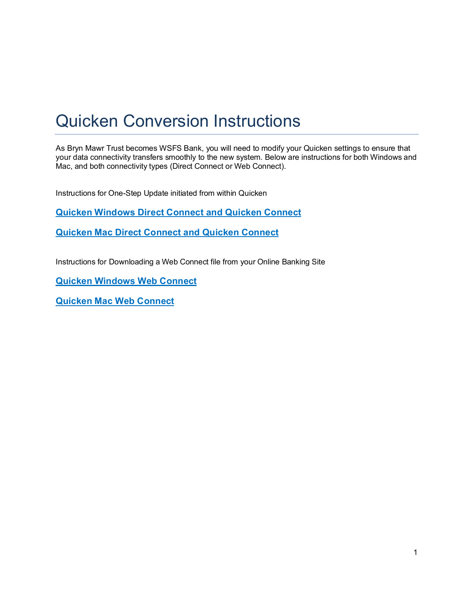# Quicken Conversion Instructions

As Bryn Mawr Trust becomes WSFS Bank, you will need to modify your Quicken settings to ensure that your data connectivity transfers smoothly to the new system. Below are instructions for both Windows and Mac, and both connectivity types (Direct Connect or Web Connect).

Instructions for One-Step Update initiated from within Quicken

**Quicken [Windows](#page-2-0) Direct Connect and Quicken Connect**

**Quicken Mac Direct Connect and Quicken [Connect](#page-2-0)**

Instructions for Downloading a Web Connect file from your Online Banking Site

**Quicken [Windows](#page-3-0) Web Connect**

**Quicken Mac Web [Connect](#page-4-0)**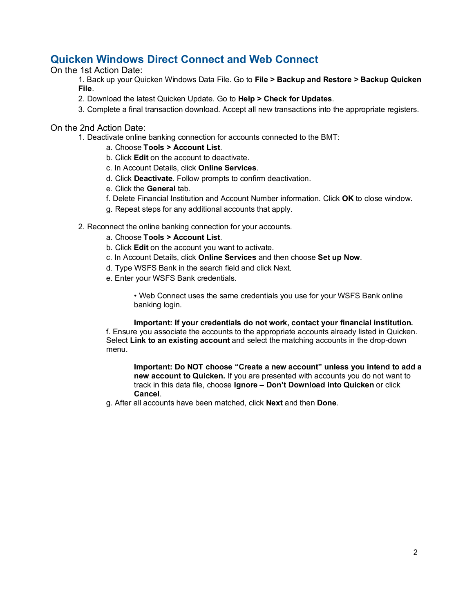## **Quicken Windows Direct Connect and Web Connect**

On the 1st Action Date:

1. Back up your Quicken Windows Data File. Go to **File > Backup and Restore > Backup Quicken File**.

- 2. Download the latest Quicken Update. Go to **Help > Check for Updates**.
- 3. Complete a final transaction download. Accept all new transactions into the appropriate registers.

On the 2nd Action Date:

- 1. Deactivate online banking connection for accounts connected to the BMT:
	- a. Choose **Tools > Account List**.
	- b. Click **Edit** on the account to deactivate.
	- c. In Account Details, click **Online Services**.
	- d. Click **Deactivate**. Follow prompts to confirm deactivation.
	- e. Click the **General** tab.
	- f. Delete Financial Institution and Account Number information. Click **OK** to close window.
	- g. Repeat steps for any additional accounts that apply.
	- 2. Reconnect the online banking connection for your accounts.
		- a. Choose **Tools > Account List**.
		- b. Click **Edit** on the account you want to activate.
		- c. In Account Details, click **Online Services** and then choose **Set up Now**.
		- d. Type WSFS Bank in the search field and click Next.
		- e. Enter your WSFS Bank credentials.

• Web Connect uses the same credentials you use for your WSFS Bank online banking login.

**Important: If your credentials do not work, contact your financial institution.** 

f. Ensure you associate the accounts to the appropriate accounts already listed in Quicken. Select **Link to an existing account** and select the matching accounts in the drop-down menu.

**Important: Do NOT choose "Create a new account" unless you intend to add a new account to Quicken.** If you are presented with accounts you do not want to track in this data file, choose **Ignore – Don't Download into Quicken** or click **Cancel**.

g. After all accounts have been matched, click **Next** and then **Done**.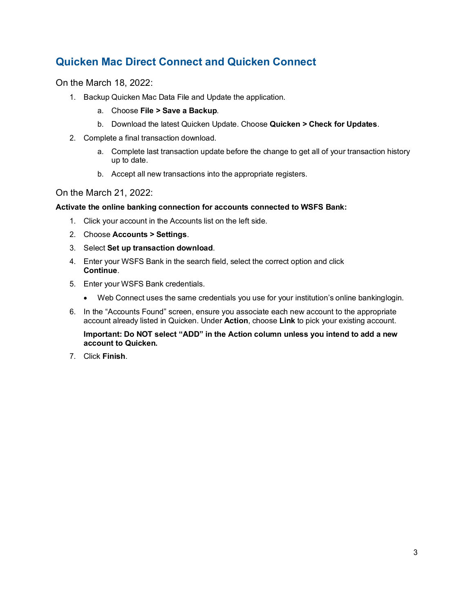# <span id="page-2-0"></span>**Quicken Mac Direct Connect and Quicken Connect**

On the March 18, 2022:

- 1. Backup Quicken Mac Data File and Update the application.
	- a. Choose **File > Save a Backup**.
	- b. Download the latest Quicken Update. Choose **Quicken > Check for Updates**.
- 2. Complete a final transaction download.
	- a. Complete last transaction update before the change to get all of your transaction history up to date.
	- b. Accept all new transactions into the appropriate registers.

#### On the March 21, 2022:

#### **Activate the online banking connection for accounts connected to WSFS Bank:**

- 1. Click your account in the Accounts list on the left side.
- 2. Choose **Accounts > Settings**.
- 3. Select **Set up transaction download**.
- 4. Enter your WSFS Bank in the search field, select the correct option and click **Continue**.
- 5. Enter your WSFS Bank credentials.
	- Web Connect uses the same credentials you use for your institution's online bankinglogin.
- 6. In the "Accounts Found" screen, ensure you associate each new account to the appropriate account already listed in Quicken. Under **Action**, choose **Link** to pick your existing account.

**Important: Do NOT select "ADD" in the Action column unless you intend to add a new account to Quicken.**

7. Click **Finish**.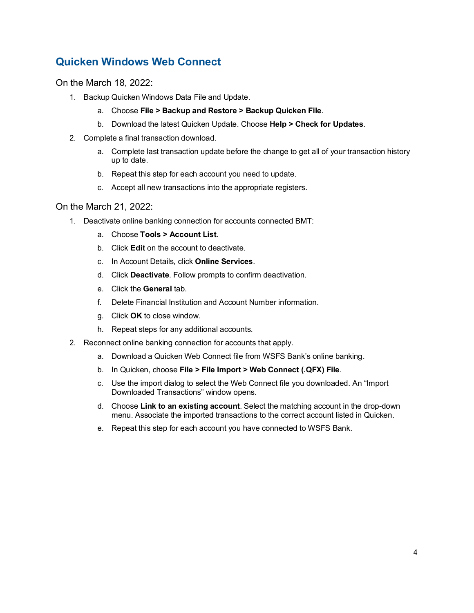## <span id="page-3-0"></span>**Quicken Windows Web Connect**

On the March 18, 2022:

- 1. Backup Quicken Windows Data File and Update.
	- a. Choose **File > Backup and Restore > Backup Quicken File**.
	- b. Download the latest Quicken Update. Choose **Help > Check for Updates**.
- 2. Complete a final transaction download.
	- a. Complete last transaction update before the change to get all of your transaction history up to date.
	- b. Repeat this step for each account you need to update.
	- c. Accept all new transactions into the appropriate registers.

#### On the March 21, 2022:

- 1. Deactivate online banking connection for accounts connected BMT:
	- a. Choose **Tools > Account List**.
	- b. Click **Edit** on the account to deactivate.
	- c. In Account Details, click **Online Services**.
	- d. Click **Deactivate**. Follow prompts to confirm deactivation.
	- e. Click the **General** tab.
	- f. Delete Financial Institution and Account Number information.
	- g. Click **OK** to close window.
	- h. Repeat steps for any additional accounts.
- 2. Reconnect online banking connection for accounts that apply.
	- a. Download a Quicken Web Connect file from WSFS Bank's online banking.
	- b. In Quicken, choose **File > File Import > Web Connect (.QFX) File**.
	- c. Use the import dialog to select the Web Connect file you downloaded. An "Import Downloaded Transactions" window opens.
	- d. Choose **Link to an existing account**. Select the matching account in the drop-down menu. Associate the imported transactions to the correct account listed in Quicken.
	- e. Repeat this step for each account you have connected to WSFS Bank.